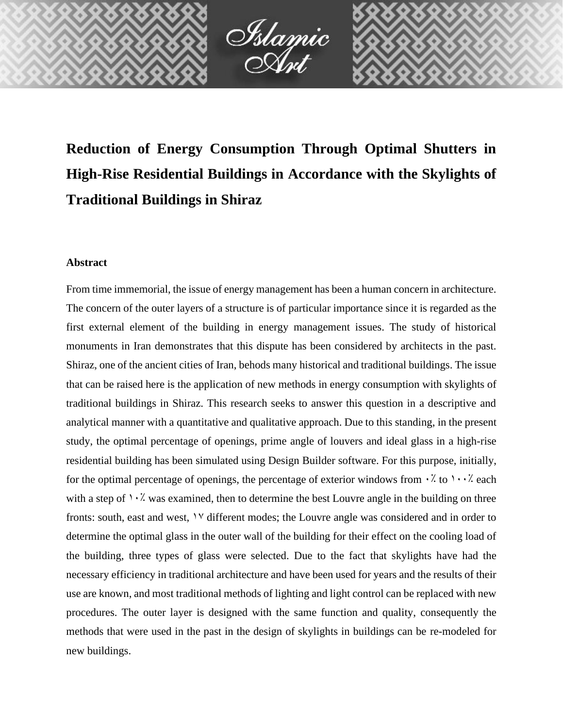

**Reduction of Energy Consumption Through Optimal Shutters in High-Rise Residential Buildings in Accordance with the Skylights of Traditional Buildings in Shiraz**

## **Abstract**

From time immemorial, the issue of energy management has been a human concern in architecture. The concern of the outer layers of a structure is of particular importance since it is regarded as the first external element of the building in energy management issues. The study of historical monuments in Iran demonstrates that this dispute has been considered by architects in the past. Shiraz, one of the ancient cities of Iran, behods many historical and traditional buildings. The issue that can be raised here is the application of new methods in energy consumption with skylights of traditional buildings in Shiraz. This research seeks to answer this question in a descriptive and analytical manner with a quantitative and qualitative approach. Due to this standing, in the present study, the optimal percentage of openings, prime angle of louvers and ideal glass in a high-rise residential building has been simulated using Design Builder software. For this purpose, initially, for the optimal percentage of openings, the percentage of exterior windows from  $\cdot$ . To  $\cdot\cdot\cdot$  each with a step of  $\cdot\cdot\cdot$ . was examined, then to determine the best Louvre angle in the building on three fronts: south, east and west,  $\gamma$  different modes; the Louvre angle was considered and in order to determine the optimal glass in the outer wall of the building for their effect on the cooling load of the building, three types of glass were selected. Due to the fact that skylights have had the necessary efficiency in traditional architecture and have been used for years and the results of their use are known, and most traditional methods of lighting and light control can be replaced with new procedures. The outer layer is designed with the same function and quality, consequently the methods that were used in the past in the design of skylights in buildings can be re-modeled for new buildings.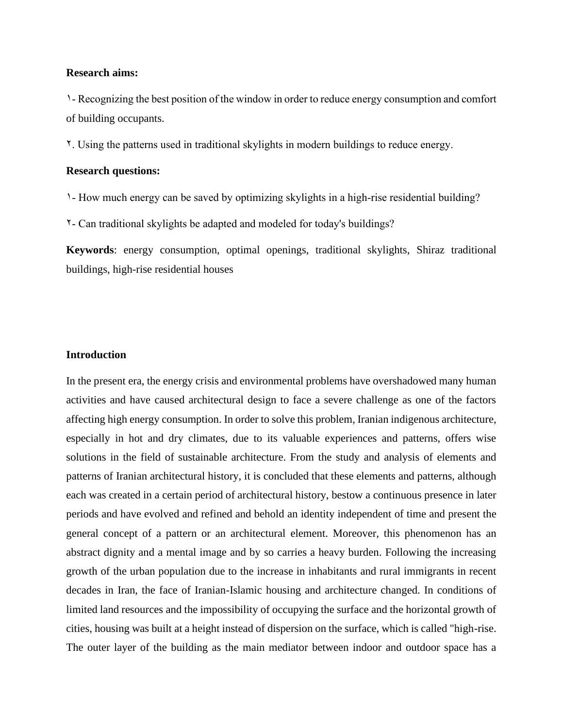### **Research aims:**

1- Recognizing the best position of the window in order to reduce energy consumption and comfort of building occupants.

2. Using the patterns used in traditional skylights in modern buildings to reduce energy.

## **Research questions:**

1- How much energy can be saved by optimizing skylights in a high-rise residential building?

2- Can traditional skylights be adapted and modeled for today's buildings?

**Keywords**: energy consumption, optimal openings, traditional skylights, Shiraz traditional buildings, high-rise residential houses

# **Introduction**

In the present era, the energy crisis and environmental problems have overshadowed many human activities and have caused architectural design to face a severe challenge as one of the factors affecting high energy consumption. In order to solve this problem, Iranian indigenous architecture, especially in hot and dry climates, due to its valuable experiences and patterns, offers wise solutions in the field of sustainable architecture. From the study and analysis of elements and patterns of Iranian architectural history, it is concluded that these elements and patterns, although each was created in a certain period of architectural history, bestow a continuous presence in later periods and have evolved and refined and behold an identity independent of time and present the general concept of a pattern or an architectural element. Moreover, this phenomenon has an abstract dignity and a mental image and by so carries a heavy burden. Following the increasing growth of the urban population due to the increase in inhabitants and rural immigrants in recent decades in Iran, the face of Iranian-Islamic housing and architecture changed. In conditions of limited land resources and the impossibility of occupying the surface and the horizontal growth of cities, housing was built at a height instead of dispersion on the surface, which is called "high-rise. The outer layer of the building as the main mediator between indoor and outdoor space has a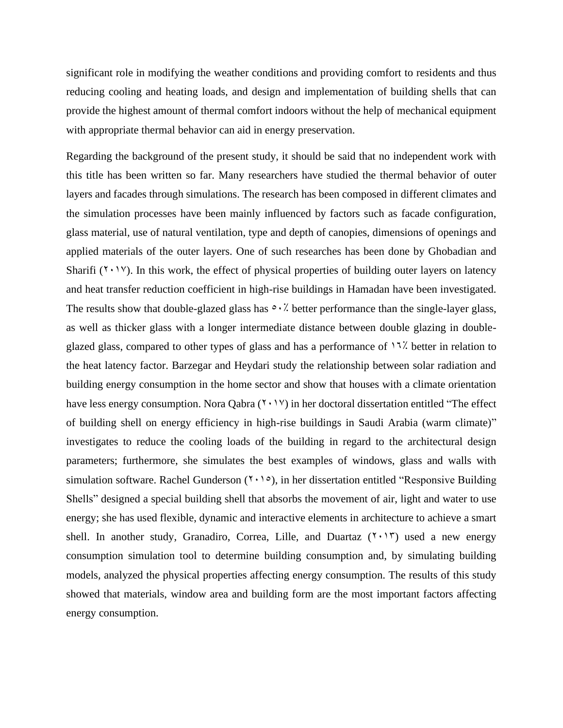significant role in modifying the weather conditions and providing comfort to residents and thus reducing cooling and heating loads, and design and implementation of building shells that can provide the highest amount of thermal comfort indoors without the help of mechanical equipment with appropriate thermal behavior can aid in energy preservation.

Regarding the background of the present study, it should be said that no independent work with this title has been written so far. Many researchers have studied the thermal behavior of outer layers and facades through simulations. The research has been composed in different climates and the simulation processes have been mainly influenced by factors such as facade configuration, glass material, use of natural ventilation, type and depth of canopies, dimensions of openings and applied materials of the outer layers. One of such researches has been done by Ghobadian and Sharifi ( $Y \cdot Y$ ). In this work, the effect of physical properties of building outer layers on latency and heat transfer reduction coefficient in high-rise buildings in Hamadan have been investigated. The results show that double-glazed glass has  $\circ \cdot \cdot$ . better performance than the single-layer glass, as well as thicker glass with a longer intermediate distance between double glazing in doubleglazed glass, compared to other types of glass and has a performance of  $17$ % better in relation to the heat latency factor. Barzegar and Heydari study the relationship between solar radiation and building energy consumption in the home sector and show that houses with a climate orientation have less energy consumption. Nora Qabra  $(7 \cdot 1 \vee)$  in her doctoral dissertation entitled "The effect of building shell on energy efficiency in high-rise buildings in Saudi Arabia (warm climate)" investigates to reduce the cooling loads of the building in regard to the architectural design parameters; furthermore, she simulates the best examples of windows, glass and walls with simulation software. Rachel Gunderson  $(1, 1, 0)$ , in her dissertation entitled "Responsive Building Shells" designed a special building shell that absorbs the movement of air, light and water to use energy; she has used flexible, dynamic and interactive elements in architecture to achieve a smart shell. In another study, Granadiro, Correa, Lille, and Duartaz  $(7 \cdot 17)$  used a new energy consumption simulation tool to determine building consumption and, by simulating building models, analyzed the physical properties affecting energy consumption. The results of this study showed that materials, window area and building form are the most important factors affecting energy consumption.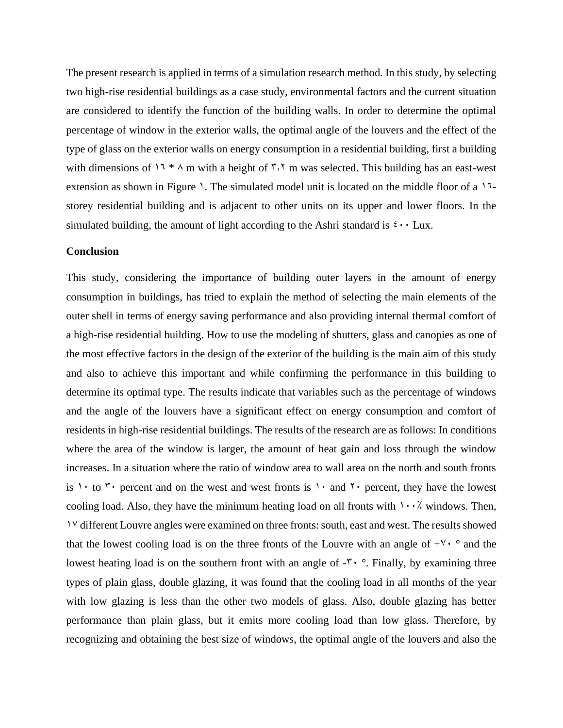The present research is applied in terms of a simulation research method. In this study, by selecting two high-rise residential buildings as a case study, environmental factors and the current situation are considered to identify the function of the building walls. In order to determine the optimal percentage of window in the exterior walls, the optimal angle of the louvers and the effect of the type of glass on the exterior walls on energy consumption in a residential building, first a building with dimensions of  $17 * A$  m with a height of  $7.7$  m was selected. This building has an east-west extension as shown in Figure 1. The simulated model unit is located on the middle floor of a  $11$ storey residential building and is adjacent to other units on its upper and lower floors. In the simulated building, the amount of light according to the Ashri standard is  $\mathfrak{t} \cdot \mathfrak{t}$  Lux.

#### **Conclusion**

This study, considering the importance of building outer layers in the amount of energy consumption in buildings, has tried to explain the method of selecting the main elements of the outer shell in terms of energy saving performance and also providing internal thermal comfort of a high-rise residential building. How to use the modeling of shutters, glass and canopies as one of the most effective factors in the design of the exterior of the building is the main aim of this study and also to achieve this important and while confirming the performance in this building to determine its optimal type. The results indicate that variables such as the percentage of windows and the angle of the louvers have a significant effect on energy consumption and comfort of residents in high-rise residential buildings. The results of the research are as follows: In conditions where the area of the window is larger, the amount of heat gain and loss through the window increases. In a situation where the ratio of window area to wall area on the north and south fronts is 1. to  $\mathbf{r}$  percent and on the west and west fronts is 1. and  $\mathbf{r}$  percent, they have the lowest cooling load. Also, they have the minimum heating load on all fronts with  $1 \cdot \cdot \cdot$  windows. Then, 17 different Louvre angles were examined on three fronts: south, east and west. The results showed that the lowest cooling load is on the three fronts of the Louvre with an angle of  $+V^{\prime}$  ° and the lowest heating load is on the southern front with an angle of  $-\mathbf{r} \cdot \mathbf{r}$ . Finally, by examining three types of plain glass, double glazing, it was found that the cooling load in all months of the year with low glazing is less than the other two models of glass. Also, double glazing has better performance than plain glass, but it emits more cooling load than low glass. Therefore, by recognizing and obtaining the best size of windows, the optimal angle of the louvers and also the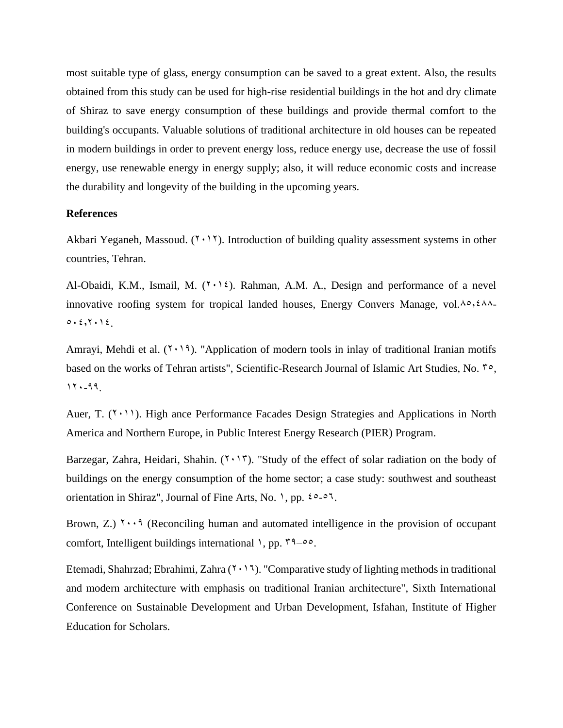most suitable type of glass, energy consumption can be saved to a great extent. Also, the results obtained from this study can be used for high-rise residential buildings in the hot and dry climate of Shiraz to save energy consumption of these buildings and provide thermal comfort to the building's occupants. Valuable solutions of traditional architecture in old houses can be repeated in modern buildings in order to prevent energy loss, reduce energy use, decrease the use of fossil energy, use renewable energy in energy supply; also, it will reduce economic costs and increase the durability and longevity of the building in the upcoming years.

## **References**

Akbari Yeganeh, Massoud.  $(2 \cdot 1)$ . Introduction of building quality assessment systems in other countries, Tehran.

Al-Obaidi, K.M., Ismail, M.  $(Y \cdot Y)$ . Rahman, A.M. A., Design and performance of a nevel innovative roofing system for tropical landed houses, Energy Convers Manage, vol. $\lambda \circ, \xi \wedge \lambda$ - $0.5,7.12$ .

Amrayi, Mehdi et al.  $(Y \cdot Y)$ . "Application of modern tools in inlay of traditional Iranian motifs based on the works of Tehran artists", Scientific-Research Journal of Islamic Art Studies, No.  $\zeta$ ,  $11. - 99.$ 

Auer, T.  $(1 \cdot 1)$ . High ance Performance Facades Design Strategies and Applications in North America and Northern Europe, in Public Interest Energy Research (PIER) Program.

Barzegar, Zahra, Heidari, Shahin.  $(1 \cdot 17)$ . "Study of the effect of solar radiation on the body of buildings on the energy consumption of the home sector; a case study: southwest and southeast orientation in Shiraz", Journal of Fine Arts, No. 1, pp.  $20-57$ .

Brown, Z.)  $\gamma \cdot \cdot \cdot$  (Reconciling human and automated intelligence in the provision of occupant comfort, Intelligent buildings international  $\lambda$ , pp.  $\zeta^4 = 0.5$ .

Etemadi, Shahrzad; Ebrahimi, Zahra  $(7 \cdot 17)$ . "Comparative study of lighting methods in traditional and modern architecture with emphasis on traditional Iranian architecture", Sixth International Conference on Sustainable Development and Urban Development, Isfahan, Institute of Higher Education for Scholars.